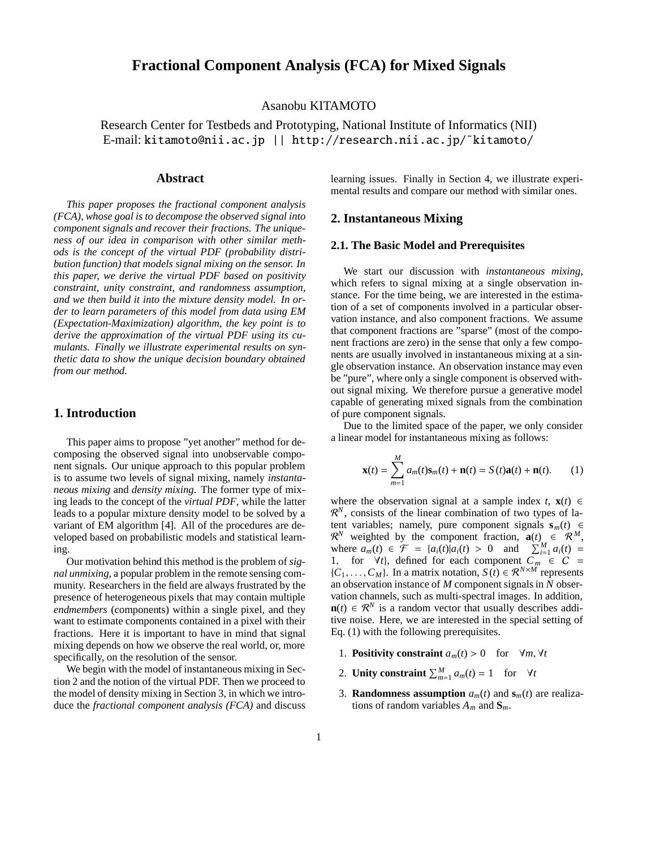# **Fractional Component Analysis (FCA) for Mixed Signals**

Asanobu KITAMOTO

Research Center for Testbeds and Prototyping, National Institute of Informatics (NII) E-mail: kitamoto@nii.ac.jp || http://research.nii.ac.jp/˜kitamoto/

#### **Abstract**

*This paper proposes the fractional component analysis (FCA), whose goal is to decompose the observed signal into component signals and recover their fractions. The uniqueness of our idea in comparison with other similar methods is the concept of the virtual PDF (probability distribution function) that models signal mixing on the sensor. In this paper, we derive the virtual PDF based on positivity constraint, unity constraint, and randomness assumption, and we then build it into the mixture density model. In order to learn parameters of this model from data using EM (Expectation-Maximization) algorithm, the key point is to derive the approximation of the virtual PDF using its cumulants. Finally we illustrate experimental results on synthetic data to show the unique decision boundary obtained from our method.*

### **1. Introduction**

This paper aims to propose "yet another" method for decomposing the observed signal into unobservable component signals. Our unique approach to this popular problem is to assume two levels of signal mixing, namely *instantaneous mixing* and *density mixing*. The former type of mixing leads to the concept of the *virtual PDF*, while the latter leads to a popular mixture density model to be solved by a variant of EM algorithm [4]. All of the procedures are developed based on probabilistic models and statistical learning.

Our motivation behind this method is the problem of *signal unmixing*, a popular problem in the remote sensing community. Researchers in the field are always frustrated by the presence of heterogeneous pixels that may contain multiple *endmembers* (components) within a single pixel, and they want to estimate components contained in a pixel with their fractions. Here it is important to have in mind that signal mixing depends on how we observe the real world, or, more specifically, on the resolution of the sensor.

We begin with the model of instantaneous mixing in Section 2 and the notion of the virtual PDF. Then we proceed to the model of density mixing in Section 3, in which we introduce the *fractional component analysis (FCA)* and discuss learning issues. Finally in Section 4, we illustrate experimental results and compare our method with similar ones.

# **2. Instantaneous Mixing**

#### **2.1. The Basic Model and Prerequisites**

We start our discussion with *instantaneous mixing*, which refers to signal mixing at a single observation instance. For the time being, we are interested in the estimation of a set of components involved in a particular observation instance, and also component fractions. We assume that component fractions are "sparse" (most of the component fractions are zero) in the sense that only a few components are usually involved in instantaneous mixing at a single observation instance. An observation instance may even be "pure", where only a single component is observed without signal mixing. We therefore pursue a generative model capable of generating mixed signals from the combination of pure component signals.

Due to the limited space of the paper, we only consider a linear model for instantaneous mixing as follows:

$$
\mathbf{x}(t) = \sum_{m=1}^{M} a_m(t)\mathbf{s}_m(t) + \mathbf{n}(t) = S(t)\mathbf{a}(t) + \mathbf{n}(t). \tag{1}
$$

where the observation signal at a sample index  $t$ ,  $\mathbf{x}(t) \in$  $\mathcal{R}^N$ , consists of the linear combination of two types of latent variables; namely, pure component signals  $\mathbf{s}_m(t) \in$  $\mathcal{R}^N$  weighted by the component fraction,  $\mathbf{a}(t) \in \mathcal{R}^M$ , where  $a_m(t) \in \mathcal{F} = \{a_i(t) | a_i(t) > 0 \text{ and } \sum_{i=1}^{M} a_i(t) =$ 1, for  $\forall t$ , defined for each component  $C_m \in C$  =  ${C_1, \ldots, C_M}$ . In a matrix notation,  $S(t) \in \mathbb{R}^{N \times M}$  represents an observation instance of *M* component signals in *N* observation channels, such as multi-spectral images. In addition,  $\mathbf{n}(t) \in \mathcal{R}^N$  is a random vector that usually describes additive noise. Here, we are interested in the special setting of Eq. (1) with the following prerequisites.

- 1. **Positivity constraint**  $a_m(t) > 0$  for  $\forall m, \forall t$
- 2. **Unity constraint**  $\sum_{m=1}^{M} a_m(t) = 1$  for  $\forall t$
- 3. **Randomness assumption**  $a_m(t)$  and  $s_m(t)$  are realizations of random variables  $A_m$  and  $S_m$ .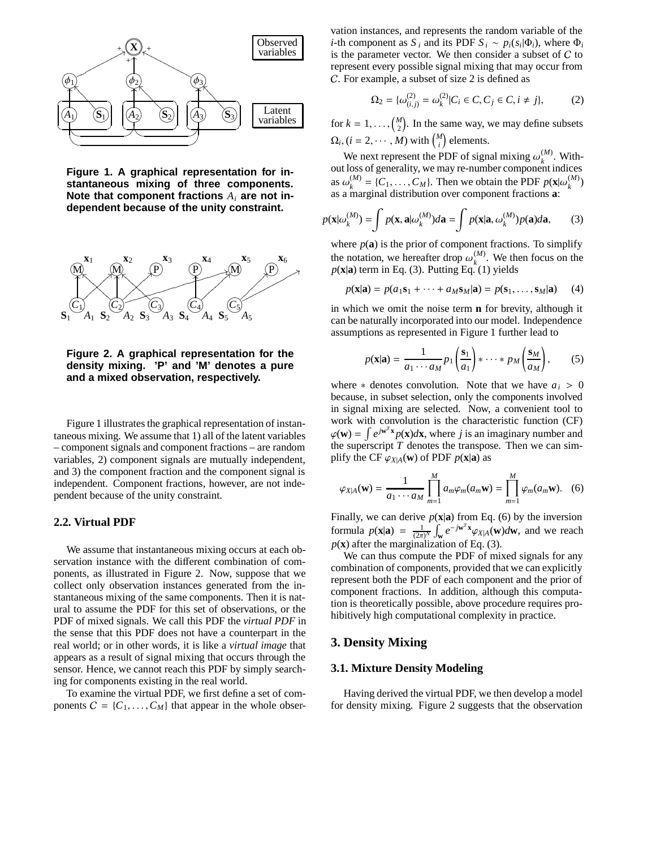

**Figure 1. A graphical representation for instantaneous mixing of three components. Note that component fractions** *Ai* **are not independent because of the unity constraint.**



**Figure 2. A graphical representation for the density mixing. 'P' and 'M' denotes a pure and a mixed observation, respectively.**

Figure 1 illustrates the graphical representation of instantaneous mixing. We assume that 1) all of the latent variables – component signals and component fractions – are random variables, 2) component signals are mutually independent, and 3) the component fraction and the component signal is independent. Component fractions, however, are not independent because of the unity constraint.

#### **2.2. Virtual PDF**

We assume that instantaneous mixing occurs at each observation instance with the different combination of components, as illustrated in Figure 2. Now, suppose that we collect only observation instances generated from the instantaneous mixing of the same components. Then it is natural to assume the PDF for this set of observations, or the PDF of mixed signals. We call this PDF the *virtual PDF* in the sense that this PDF does not have a counterpart in the real world; or in other words, it is like a *virtual image* that appears as a result of signal mixing that occurs through the sensor. Hence, we cannot reach this PDF by simply searching for components existing in the real world.

To examine the virtual PDF, we first define a set of components  $C = \{C_1, \ldots, C_M\}$  that appear in the whole observation instances, and represents the random variable of the *i*-th component as  $S_i$  and its PDF  $S_i \sim p_i(s_i | \Phi_i)$ , where  $\Phi_i$ is the parameter vector. We then consider a subset of  $C$  to represent every possible signal mixing that may occur from C. For example, a subset of size 2 is defined as

$$
\Omega_2 = \{ \omega_{(i,j)}^{(2)} = \omega_k^{(2)} | C_i \in C, C_j \in C, i \neq j \},\tag{2}
$$

for  $k = 1, ..., {M \choose 2}$ . In the same way, we may define subsets  $\Omega_i$ ,  $(i = 2, \dots, M)$  with  $\binom{M}{i}$  elements.

We next represent the PDF of signal mixing  $\omega_k^{(M)}$ . Without loss of generality, we may re-number component indices as  $\omega_k^{(M)} = \{C_1, \ldots, C_M\}$ . Then we obtain the PDF  $p(\mathbf{x} | \omega_k^{(M)})$ as a marginal distribution over component fractions **a**:

$$
p(\mathbf{x}|\omega_k^{(M)}) = \int p(\mathbf{x}, \mathbf{a}|\omega_k^{(M)})d\mathbf{a} = \int p(\mathbf{x}|\mathbf{a}, \omega_k^{(M)})p(\mathbf{a})d\mathbf{a},
$$
 (3)

where  $p(\mathbf{a})$  is the prior of component fractions. To simplify the notation, we hereafter drop  $\omega_k^{(M)}$ . We then focus on the  $p(\mathbf{x}|\mathbf{a})$  term in Eq. (3). Putting Eq. (1) yields

$$
p(\mathbf{x}|\mathbf{a}) = p(a_1\mathbf{s}_1 + \dots + a_M\mathbf{s}_M|\mathbf{a}) = p(\mathbf{s}_1, \dots, \mathbf{s}_M|\mathbf{a}) \qquad (4)
$$

in which we omit the noise term **n** for brevity, although it can be naturally incorporated into our model. Independence assumptions as represented in Figure 1 further lead to

$$
p(\mathbf{x}|\mathbf{a}) = \frac{1}{a_1 \cdots a_M} p_1\left(\frac{\mathbf{s}_1}{a_1}\right) * \cdots * p_M\left(\frac{\mathbf{s}_M}{a_M}\right),\tag{5}
$$

where  $*$  denotes convolution. Note that we have  $a_i > 0$ because, in subset selection, only the components involved in signal mixing are selected. Now, a convenient tool to work with convolution is the characteristic function (CF)  $\varphi(\mathbf{w}) = \int e^{j\mathbf{w}^T\mathbf{x}} p(\mathbf{x}) d\mathbf{x}$ , where *j* is an imaginary number and the superscript  $T$  denotes the transpose. Then we can simplify the CF  $\varphi_{X|A}(\mathbf{w})$  of PDF  $p(\mathbf{x}|\mathbf{a})$  as

$$
\varphi_{X|A}(\mathbf{w}) = \frac{1}{a_1 \cdots a_M} \prod_{m=1}^M a_m \varphi_m(a_m \mathbf{w}) = \prod_{m=1}^M \varphi_m(a_m \mathbf{w}). \quad (6)
$$

Finally, we can derive  $p(x|\mathbf{a})$  from Eq. (6) by the inversion formula  $p(\mathbf{x}|\mathbf{a}) = \frac{1}{(2\pi)^N} \int_{\mathbf{w}} e^{-j\mathbf{w}^T \mathbf{x}} \varphi_{X|A}(\mathbf{w}) d\mathbf{w}$ , and we reach  $p(\mathbf{x})$  after the marginalization of Eq. (3).

We can thus compute the PDF of mixed signals for any combination of components, provided that we can explicitly represent both the PDF of each component and the prior of component fractions. In addition, although this computation is theoretically possible, above procedure requires prohibitively high computational complexity in practice.

# **3. Density Mixing**

#### **3.1. Mixture Density Modeling**

Having derived the virtual PDF, we then develop a model for density mixing. Figure 2 suggests that the observation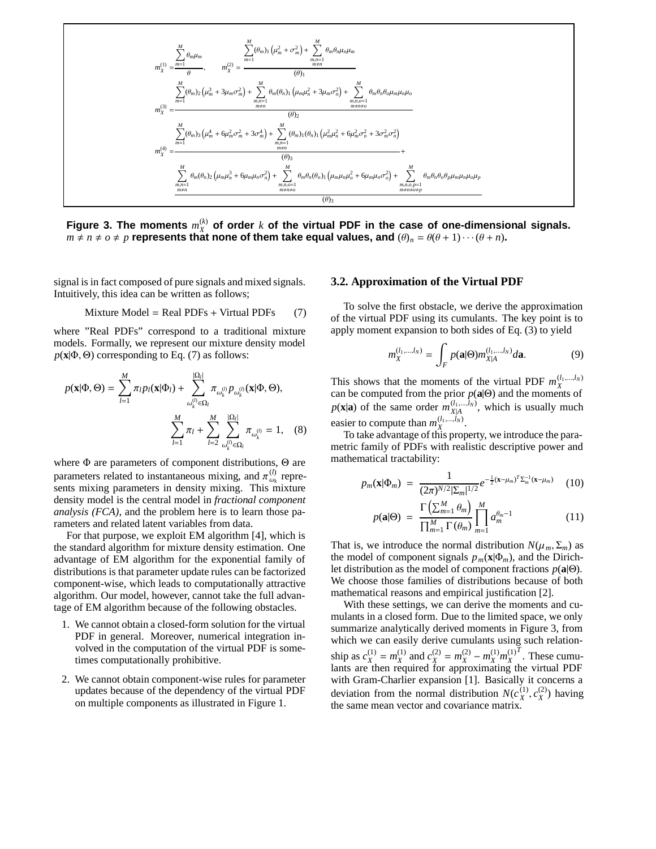$$
m_{X}^{(1)} = \frac{\sum_{m=1}^{M} \theta_{m} \mu_{m}}{\theta}, \qquad m_{X}^{(2)} = \frac{\sum_{m=1}^{M} (\theta_{m})_{1} (\mu_{m}^{2} + \sigma_{m}^{2}) + \sum_{\substack{m,n=1 \ m \neq n}}^{M} \theta_{m} \theta_{n} \mu_{n} \mu_{m}}{(\theta)_{1}}
$$
  
\n
$$
m_{X}^{(3)} = \frac{\sum_{m=1}^{M} (\theta_{m})_{2} (\mu_{m}^{3} + 3\mu_{m}\sigma_{m}^{2}) + \sum_{\substack{m,n=1 \ m \neq n}}^{M} \theta_{m} (\theta_{n})_{1} (\mu_{m} \mu_{n}^{2} + 3\mu_{m}\sigma_{n}^{2}) + \sum_{\substack{m,n=1 \ m \neq n \neq n}}^{M} \theta_{m} \theta_{n} \theta_{0} \mu_{m} \mu_{n} \mu_{0}}{(\theta_{0})_{2}}
$$
  
\n
$$
m_{X}^{(4)} = \frac{\sum_{m=1}^{M} (\theta_{m})_{3} (\mu_{m}^{4} + 6\mu_{m}^{2}\sigma_{m}^{2} + 3\sigma_{m}^{4}) + \sum_{\substack{m,n=1 \ m \neq n}}^{M} (\theta_{m})_{1} (\theta_{n})_{1} (\mu_{m}^{2}\mu_{n}^{2} + 6\mu_{m}^{2}\sigma_{n}^{2} + 3\sigma_{m}^{2}\sigma_{n}^{2})}{(\theta)_{3}} + \sum_{\substack{m,n=1 \ m \neq n \ m \neq n \neq n}}^{M} \theta_{m} \theta_{n} \theta_{n} \theta_{n} \right) (\mu_{m} \mu_{n} \mu_{o}^{2} + 6\mu_{m} \mu_{n} \sigma_{o}^{2}) + \sum_{\substack{m,n,p=1 \ m \neq n \neq n}}^{M} \theta_{m} \theta_{n} \theta_{n} \theta_{0} \theta_{p} \mu_{m} \mu_{n} \mu_{0} \mu_{p}}{m_{n} \neq n \neq n \neq n}
$$
  
\n
$$
(9)_{3}
$$

Figure 3. The moments  $m_X^{(k)}$  of order  $k$  of the virtual PDF in the case of one-dimensional signals.  $m \neq n \neq o \neq p$  represents that none of them take equal values, and  $(\theta)_n = \theta(\theta + 1) \cdots (\theta + n)$ .

signal is in fact composed of pure signals and mixed signals. Intuitively, this idea can be written as follows;

$$
Mixture Model = Real PDFs + Virtual PDFs \qquad (7)
$$

where "Real PDFs" correspond to a traditional mixture models. Formally, we represent our mixture density model  $p(\mathbf{x}|\Phi,\Theta)$  corresponding to Eq. (7) as follows:

$$
p(\mathbf{x}|\Phi,\Theta) = \sum_{l=1}^{M} \pi_l p_l(\mathbf{x}|\Phi_l) + \sum_{\omega_k^{(l)} \in \Omega_l}^{\left|\Omega_l\right|} \pi_{\omega_k^{(l)}} p_{\omega_k^{(l)}}(\mathbf{x}|\Phi,\Theta),
$$

$$
\sum_{l=1}^{M} \pi_l + \sum_{l=2}^{M} \sum_{\omega_k^{(l)} \in \Omega_l}^{\left|\Omega_l\right|} \pi_{\omega_k^{(l)}} = 1, \quad (8)
$$

where Φ are parameters of component distributions, Θ are parameters related to instantaneous mixing, and  $\pi_{\omega_k}^{(l)}$  represents mixing parameters in density mixing. This mixture density model is the central model in *fractional component analysis (FCA)*, and the problem here is to learn those parameters and related latent variables from data.

For that purpose, we exploit EM algorithm [4], which is the standard algorithm for mixture density estimation. One advantage of EM algorithm for the exponential family of distributions is that parameter update rules can be factorized component-wise, which leads to computationally attractive algorithm. Our model, however, cannot take the full advantage of EM algorithm because of the following obstacles.

- 1. We cannot obtain a closed-form solution for the virtual PDF in general. Moreover, numerical integration involved in the computation of the virtual PDF is sometimes computationally prohibitive.
- 2. We cannot obtain component-wise rules for parameter updates because of the dependency of the virtual PDF on multiple components as illustrated in Figure 1.

#### **3.2. Approximation of the Virtual PDF**

To solve the first obstacle, we derive the approximation of the virtual PDF using its cumulants. The key point is to apply moment expansion to both sides of Eq. (3) to yield

$$
m_X^{(l_1,...,l_N)} = \int_F p(\mathbf{a}|\Theta) m_{X|A}^{(l_1,...,l_N)} d\mathbf{a}.
$$
 (9)

This shows that the moments of the virtual PDF  $m_X^{(l_1,...,l_N)}$ can be computed from the prior *p*(**a**|Θ) and the moments of  $p(\mathbf{x}|\mathbf{a})$  of the same order  $m_{X|A}^{(l_1,...,l_N)}$ , which is usually much easier to compute than  $m_X^{(l_1,...,l_N)}$ .

To take advantage of this property, we introduce the parametric family of PDFs with realistic descriptive power and mathematical tractability:

$$
p_m(\mathbf{x}|\Phi_m) = \frac{1}{(2\pi)^{N/2}|\Sigma_m|^{1/2}}e^{-\frac{1}{2}(\mathbf{x}-\mu_m)^T\Sigma_m^{-1}(\mathbf{x}-\mu_m)}
$$
 (10)

$$
p(\mathbf{a}|\Theta) = \frac{\Gamma\left(\sum_{m=1}^{M} \theta_m\right)}{\prod_{m=1}^{M} \Gamma\left(\theta_m\right)} \prod_{m=1}^{M} a_m^{\theta_m - 1} \tag{11}
$$

That is, we introduce the normal distribution  $N(\mu_m, \Sigma_m)$  as the model of component signals  $p_m(\mathbf{x}|\Phi_m)$ , and the Dirichlet distribution as the model of component fractions *p*(**a**|Θ). We choose those families of distributions because of both mathematical reasons and empirical justification [2].

With these settings, we can derive the moments and cumulants in a closed form. Due to the limited space, we only summarize analytically derived moments in Figure 3, from which we can easily derive cumulants using such relationship as  $c_X^{(1)} = m_X^{(1)}$  and  $c_X^{(2)} = m_X^{(2)} - m_X^{(1)}m_X^{(1)}$ *T* . These cumulants are then required for approximating the virtual PDF with Gram-Charlier expansion [1]. Basically it concerns a deviation from the normal distribution  $N(c_X^{(1)}, c_X^{(2)})$  having the same mean vector and covariance matrix.